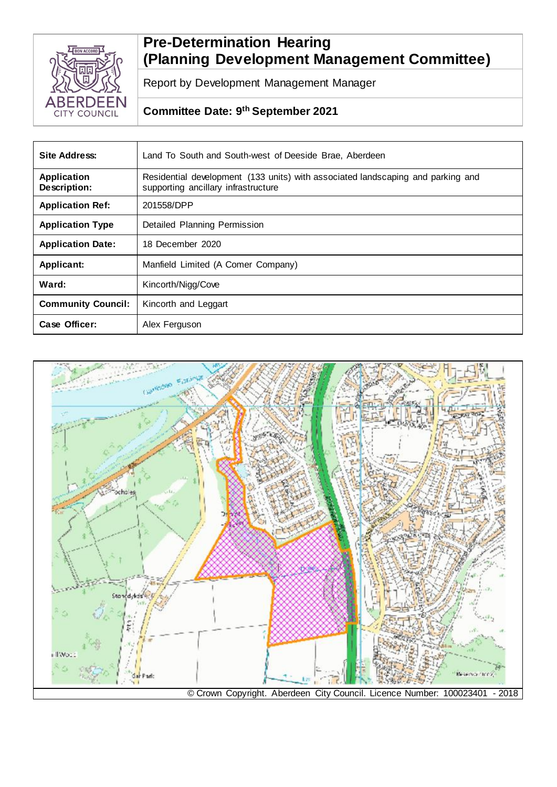

# **Pre-Determination Hearing (Planning Development Management Committee)**

Report by Development Management Manager

# **Committee Date: 9 th September 2021**

| Site Address:                      | Land To South and South-west of Deeside Brae, Aberdeen                                                                 |
|------------------------------------|------------------------------------------------------------------------------------------------------------------------|
| <b>Application</b><br>Description: | Residential development (133 units) with associated landscaping and parking and<br>supporting ancillary infrastructure |
| <b>Application Ref:</b>            | 201558/DPP                                                                                                             |
| <b>Application Type</b>            | Detailed Planning Permission                                                                                           |
| <b>Application Date:</b>           | 18 December 2020                                                                                                       |
| Applicant:                         | Manfield Limited (A Comer Company)                                                                                     |
| Ward:                              | Kincorth/Nigg/Cove                                                                                                     |
| <b>Community Council:</b>          | Kincorth and Leggart                                                                                                   |
| Case Officer:                      | Alex Ferguson                                                                                                          |

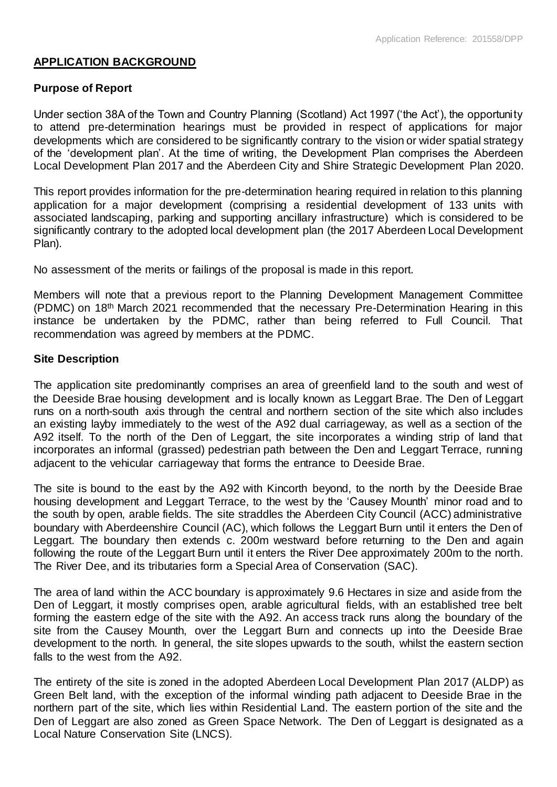# **APPLICATION BACKGROUND**

### **Purpose of Report**

Under section 38A of the Town and Country Planning (Scotland) Act 1997 ('the Act'), the opportunity to attend pre-determination hearings must be provided in respect of applications for major developments which are considered to be significantly contrary to the vision or wider spatial strategy of the 'development plan'. At the time of writing, the Development Plan comprises the Aberdeen Local Development Plan 2017 and the Aberdeen City and Shire Strategic Development Plan 2020.

This report provides information for the pre-determination hearing required in relation to this planning application for a major development (comprising a residential development of 133 units with associated landscaping, parking and supporting ancillary infrastructure) which is considered to be significantly contrary to the adopted local development plan (the 2017 Aberdeen Local Development Plan).

No assessment of the merits or failings of the proposal is made in this report.

Members will note that a previous report to the Planning Development Management Committee (PDMC) on 18th March 2021 recommended that the necessary Pre-Determination Hearing in this instance be undertaken by the PDMC, rather than being referred to Full Council. That recommendation was agreed by members at the PDMC.

#### **Site Description**

The application site predominantly comprises an area of greenfield land to the south and west of the Deeside Brae housing development and is locally known as Leggart Brae. The Den of Leggart runs on a north-south axis through the central and northern section of the site which also includes an existing layby immediately to the west of the A92 dual carriageway, as well as a section of the A92 itself. To the north of the Den of Leggart, the site incorporates a winding strip of land that incorporates an informal (grassed) pedestrian path between the Den and Leggart Terrace, running adjacent to the vehicular carriageway that forms the entrance to Deeside Brae.

The site is bound to the east by the A92 with Kincorth beyond, to the north by the Deeside Brae housing development and Leggart Terrace, to the west by the 'Causey Mounth' minor road and to the south by open, arable fields. The site straddles the Aberdeen City Council (ACC) administrative boundary with Aberdeenshire Council (AC), which follows the Leggart Burn until it enters the Den of Leggart. The boundary then extends c. 200m westward before returning to the Den and again following the route of the Leggart Burn until it enters the River Dee approximately 200m to the north. The River Dee, and its tributaries form a Special Area of Conservation (SAC).

The area of land within the ACC boundary is approximately 9.6 Hectares in size and aside from the Den of Leggart, it mostly comprises open, arable agricultural fields, with an established tree belt forming the eastern edge of the site with the A92. An access track runs along the boundary of the site from the Causey Mounth, over the Leggart Burn and connects up into the Deeside Brae development to the north. In general, the site slopes upwards to the south, whilst the eastern section falls to the west from the A92.

The entirety of the site is zoned in the adopted Aberdeen Local Development Plan 2017 (ALDP) as Green Belt land, with the exception of the informal winding path adjacent to Deeside Brae in the northern part of the site, which lies within Residential Land. The eastern portion of the site and the Den of Leggart are also zoned as Green Space Network. The Den of Leggart is designated as a Local Nature Conservation Site (LNCS).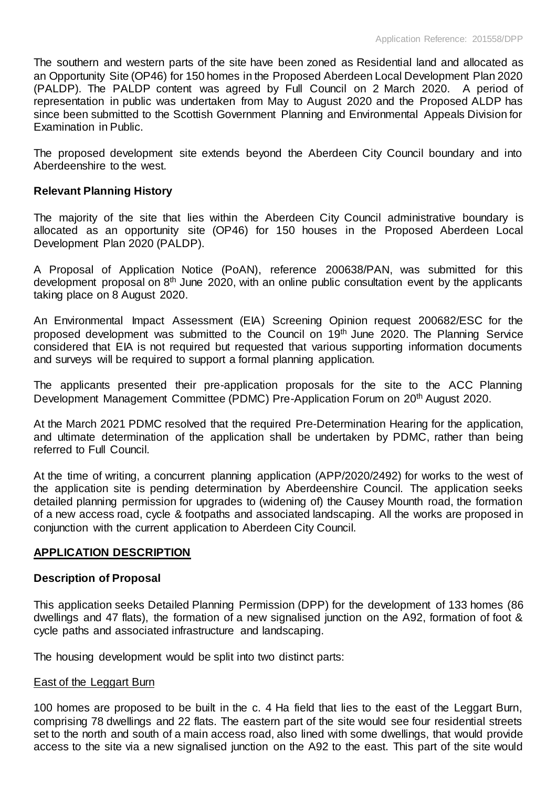The southern and western parts of the site have been zoned as Residential land and allocated as an Opportunity Site (OP46) for 150 homes in the Proposed Aberdeen Local Development Plan 2020 (PALDP). The PALDP content was agreed by Full Council on 2 March 2020. A period of representation in public was undertaken from May to August 2020 and the Proposed ALDP has since been submitted to the Scottish Government Planning and Environmental Appeals Division for Examination in Public.

The proposed development site extends beyond the Aberdeen City Council boundary and into Aberdeenshire to the west.

#### **Relevant Planning History**

The majority of the site that lies within the Aberdeen City Council administrative boundary is allocated as an opportunity site (OP46) for 150 houses in the Proposed Aberdeen Local Development Plan 2020 (PALDP).

A Proposal of Application Notice (PoAN), reference 200638/PAN, was submitted for this development proposal on 8<sup>th</sup> June 2020, with an online public consultation event by the applicants taking place on 8 August 2020.

An Environmental Impact Assessment (EIA) Screening Opinion request 200682/ESC for the proposed development was submitted to the Council on 19<sup>th</sup> June 2020. The Planning Service considered that EIA is not required but requested that various supporting information documents and surveys will be required to support a formal planning application.

The applicants presented their pre-application proposals for the site to the ACC Planning Development Management Committee (PDMC) Pre-Application Forum on 20<sup>th</sup> August 2020.

At the March 2021 PDMC resolved that the required Pre-Determination Hearing for the application, and ultimate determination of the application shall be undertaken by PDMC, rather than being referred to Full Council.

At the time of writing, a concurrent planning application (APP/2020/2492) for works to the west of the application site is pending determination by Aberdeenshire Council. The application seeks detailed planning permission for upgrades to (widening of) the Causey Mounth road, the formation of a new access road, cycle & footpaths and associated landscaping. All the works are proposed in conjunction with the current application to Aberdeen City Council.

# **APPLICATION DESCRIPTION**

#### **Description of Proposal**

This application seeks Detailed Planning Permission (DPP) for the development of 133 homes (86 dwellings and 47 flats), the formation of a new signalised junction on the A92, formation of foot & cycle paths and associated infrastructure and landscaping.

The housing development would be split into two distinct parts:

#### East of the Leggart Burn

100 homes are proposed to be built in the c. 4 Ha field that lies to the east of the Leggart Burn, comprising 78 dwellings and 22 flats. The eastern part of the site would see four residential streets set to the north and south of a main access road, also lined with some dwellings, that would provide access to the site via a new signalised junction on the A92 to the east. This part of the site would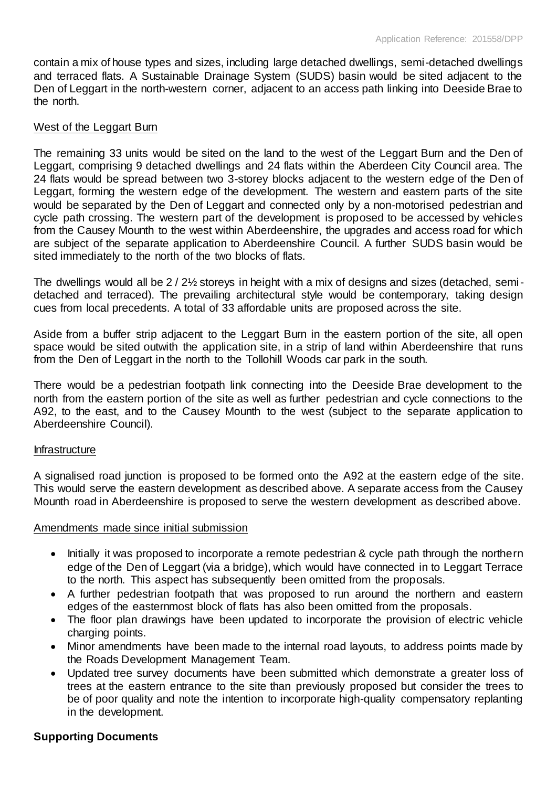contain a mix of house types and sizes, including large detached dwellings, semi-detached dwellings and terraced flats. A Sustainable Drainage System (SUDS) basin would be sited adjacent to the Den of Leggart in the north-western corner, adjacent to an access path linking into Deeside Brae to the north.

#### West of the Leggart Burn

The remaining 33 units would be sited on the land to the west of the Leggart Burn and the Den of Leggart, comprising 9 detached dwellings and 24 flats within the Aberdeen City Council area. The 24 flats would be spread between two 3-storey blocks adjacent to the western edge of the Den of Leggart, forming the western edge of the development. The western and eastern parts of the site would be separated by the Den of Leggart and connected only by a non-motorised pedestrian and cycle path crossing. The western part of the development is proposed to be accessed by vehicles from the Causey Mounth to the west within Aberdeenshire, the upgrades and access road for which are subject of the separate application to Aberdeenshire Council. A further SUDS basin would be sited immediately to the north of the two blocks of flats.

The dwellings would all be 2 / 2½ storeys in height with a mix of designs and sizes (detached, semidetached and terraced). The prevailing architectural style would be contemporary, taking design cues from local precedents. A total of 33 affordable units are proposed across the site.

Aside from a buffer strip adjacent to the Leggart Burn in the eastern portion of the site, all open space would be sited outwith the application site, in a strip of land within Aberdeenshire that runs from the Den of Leggart in the north to the Tollohill Woods car park in the south.

There would be a pedestrian footpath link connecting into the Deeside Brae development to the north from the eastern portion of the site as well as further pedestrian and cycle connections to the A92, to the east, and to the Causey Mounth to the west (subject to the separate application to Aberdeenshire Council).

#### Infrastructure

A signalised road junction is proposed to be formed onto the A92 at the eastern edge of the site. This would serve the eastern development as described above. A separate access from the Causey Mounth road in Aberdeenshire is proposed to serve the western development as described above.

#### Amendments made since initial submission

- Initially it was proposed to incorporate a remote pedestrian & cycle path through the northern edge of the Den of Leggart (via a bridge), which would have connected in to Leggart Terrace to the north. This aspect has subsequently been omitted from the proposals.
- A further pedestrian footpath that was proposed to run around the northern and eastern edges of the easternmost block of flats has also been omitted from the proposals.
- The floor plan drawings have been updated to incorporate the provision of electric vehicle charging points.
- Minor amendments have been made to the internal road layouts, to address points made by the Roads Development Management Team.
- Updated tree survey documents have been submitted which demonstrate a greater loss of trees at the eastern entrance to the site than previously proposed but consider the trees to be of poor quality and note the intention to incorporate high-quality compensatory replanting in the development.

#### **Supporting Documents**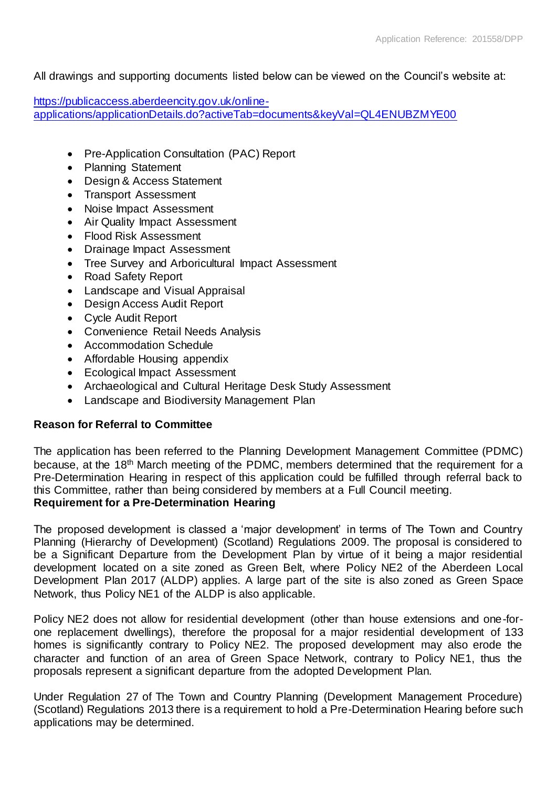All drawings and supporting documents listed below can be viewed on the Council's website at:

[https://publicaccess.aberdeencity.gov.uk/online](https://publicaccess.aberdeencity.gov.uk/online-applications/applicationDetails.do?activeTab=documents&keyVal=QL4ENUBZMYE00)[applications/applicationDetails.do?activeTab=documents&keyVal=QL4ENUBZMYE00](https://publicaccess.aberdeencity.gov.uk/online-applications/applicationDetails.do?activeTab=documents&keyVal=QL4ENUBZMYE00)

- Pre-Application Consultation (PAC) Report
- Planning Statement
- Design & Access Statement
- Transport Assessment
- Noise Impact Assessment
- Air Quality Impact Assessment
- Flood Risk Assessment
- Drainage Impact Assessment
- Tree Survey and Arboricultural Impact Assessment
- Road Safety Report
- Landscape and Visual Appraisal
- Design Access Audit Report
- Cycle Audit Report
- Convenience Retail Needs Analysis
- Accommodation Schedule
- Affordable Housing appendix
- Ecological Impact Assessment
- Archaeological and Cultural Heritage Desk Study Assessment
- Landscape and Biodiversity Management Plan

# **Reason for Referral to Committee**

The application has been referred to the Planning Development Management Committee (PDMC) because, at the 18<sup>th</sup> March meeting of the PDMC, members determined that the requirement for a Pre-Determination Hearing in respect of this application could be fulfilled through referral back to this Committee, rather than being considered by members at a Full Council meeting.

# **Requirement for a Pre-Determination Hearing**

The proposed development is classed a 'major development' in terms of The Town and Country Planning (Hierarchy of Development) (Scotland) Regulations 2009. The proposal is considered to be a Significant Departure from the Development Plan by virtue of it being a major residential development located on a site zoned as Green Belt, where Policy NE2 of the Aberdeen Local Development Plan 2017 (ALDP) applies. A large part of the site is also zoned as Green Space Network, thus Policy NE1 of the ALDP is also applicable.

Policy NE2 does not allow for residential development (other than house extensions and one-forone replacement dwellings), therefore the proposal for a major residential development of 133 homes is significantly contrary to Policy NE2. The proposed development may also erode the character and function of an area of Green Space Network, contrary to Policy NE1, thus the proposals represent a significant departure from the adopted Development Plan.

Under Regulation 27 of The Town and Country Planning (Development Management Procedure) (Scotland) Regulations 2013 there is a requirement to hold a Pre-Determination Hearing before such applications may be determined.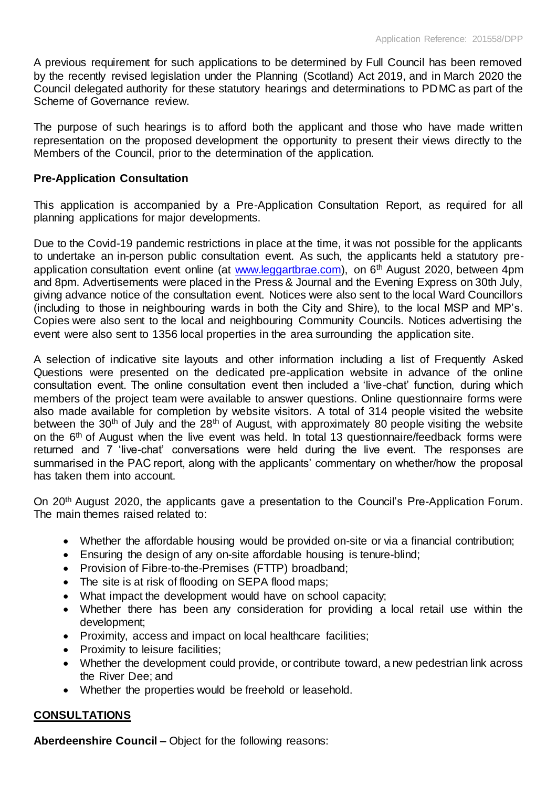A previous requirement for such applications to be determined by Full Council has been removed by the recently revised legislation under the Planning (Scotland) Act 2019, and in March 2020 the Council delegated authority for these statutory hearings and determinations to PDMC as part of the Scheme of Governance review.

The purpose of such hearings is to afford both the applicant and those who have made written representation on the proposed development the opportunity to present their views directly to the Members of the Council, prior to the determination of the application.

# **Pre-Application Consultation**

This application is accompanied by a Pre-Application Consultation Report, as required for all planning applications for major developments.

Due to the Covid-19 pandemic restrictions in place at the time, it was not possible for the applicants to undertake an in-person public consultation event. As such, the applicants held a statutory preapplication consultation event online (at [www.leggartbrae.com\),](http://www.leggartbrae.com/) on 6<sup>th</sup> August 2020, between 4pm and 8pm. Advertisements were placed in the Press & Journal and the Evening Express on 30th July, giving advance notice of the consultation event. Notices were also sent to the local Ward Councillors (including to those in neighbouring wards in both the City and Shire), to the local MSP and MP's. Copies were also sent to the local and neighbouring Community Councils. Notices advertising the event were also sent to 1356 local properties in the area surrounding the application site.

A selection of indicative site layouts and other information including a list of Frequently Asked Questions were presented on the dedicated pre-application website in advance of the online consultation event. The online consultation event then included a 'live-chat' function, during which members of the project team were available to answer questions. Online questionnaire forms were also made available for completion by website visitors. A total of 314 people visited the website between the 30<sup>th</sup> of July and the 28<sup>th</sup> of August, with approximately 80 people visiting the website on the 6<sup>th</sup> of August when the live event was held. In total 13 questionnaire/feedback forms were returned and 7 'live-chat' conversations were held during the live event. The responses are summarised in the PAC report, along with the applicants' commentary on whether/how the proposal has taken them into account.

On 20<sup>th</sup> August 2020, the applicants gave a presentation to the Council's Pre-Application Forum. The main themes raised related to:

- Whether the affordable housing would be provided on-site or via a financial contribution;
- Ensuring the design of any on-site affordable housing is tenure-blind;
- Provision of Fibre-to-the-Premises (FTTP) broadband;
- The site is at risk of flooding on SEPA flood maps;
- What impact the development would have on school capacity;
- Whether there has been any consideration for providing a local retail use within the development;
- Proximity, access and impact on local healthcare facilities;
- Proximity to leisure facilities:
- Whether the development could provide, or contribute toward, a new pedestrian link across the River Dee; and
- Whether the properties would be freehold or leasehold.

# **CONSULTATIONS**

**Aberdeenshire Council –** Object for the following reasons: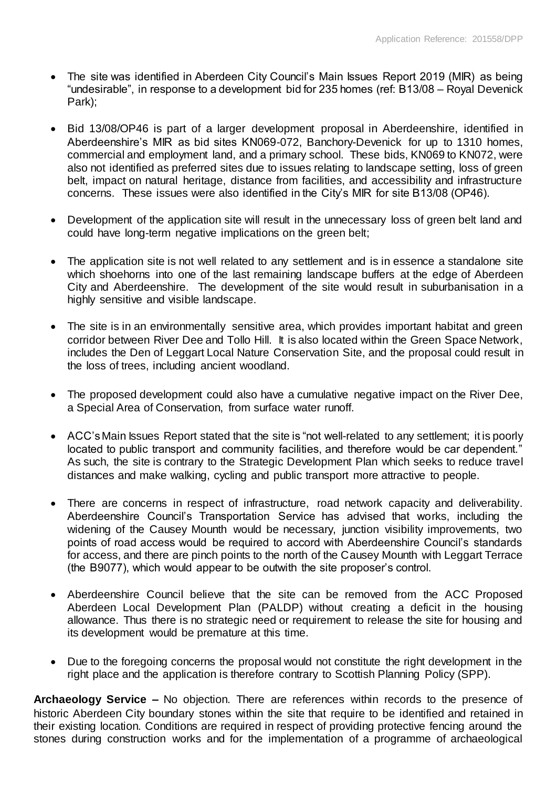- The site was identified in Aberdeen City Council's Main Issues Report 2019 (MIR) as being "undesirable", in response to a development bid for 235 homes (ref: B13/08 – Royal Devenick Park);
- Bid 13/08/OP46 is part of a larger development proposal in Aberdeenshire, identified in Aberdeenshire's MIR as bid sites KN069-072, Banchory-Devenick for up to 1310 homes, commercial and employment land, and a primary school. These bids, KN069 to KN072, were also not identified as preferred sites due to issues relating to landscape setting, loss of green belt, impact on natural heritage, distance from facilities, and accessibility and infrastructure concerns. These issues were also identified in the City's MIR for site B13/08 (OP46).
- Development of the application site will result in the unnecessary loss of green belt land and could have long-term negative implications on the green belt;
- The application site is not well related to any settlement and is in essence a standalone site which shoehorns into one of the last remaining landscape buffers at the edge of Aberdeen City and Aberdeenshire. The development of the site would result in suburbanisation in a highly sensitive and visible landscape.
- The site is in an environmentally sensitive area, which provides important habitat and green corridor between River Dee and Tollo Hill. It is also located within the Green Space Network, includes the Den of Leggart Local Nature Conservation Site, and the proposal could result in the loss of trees, including ancient woodland.
- The proposed development could also have a cumulative negative impact on the River Dee, a Special Area of Conservation, from surface water runoff.
- ACC's Main Issues Report stated that the site is "not well-related to any settlement; it is poorly located to public transport and community facilities, and therefore would be car dependent." As such, the site is contrary to the Strategic Development Plan which seeks to reduce travel distances and make walking, cycling and public transport more attractive to people.
- There are concerns in respect of infrastructure, road network capacity and deliverability. Aberdeenshire Council's Transportation Service has advised that works, including the widening of the Causey Mounth would be necessary, junction visibility improvements, two points of road access would be required to accord with Aberdeenshire Council's standards for access, and there are pinch points to the north of the Causey Mounth with Leggart Terrace (the B9077), which would appear to be outwith the site proposer's control.
- Aberdeenshire Council believe that the site can be removed from the ACC Proposed Aberdeen Local Development Plan (PALDP) without creating a deficit in the housing allowance. Thus there is no strategic need or requirement to release the site for housing and its development would be premature at this time.
- Due to the foregoing concerns the proposal would not constitute the right development in the right place and the application is therefore contrary to Scottish Planning Policy (SPP).

**Archaeology Service –** No objection. There are references within records to the presence of historic Aberdeen City boundary stones within the site that require to be identified and retained in their existing location. Conditions are required in respect of providing protective fencing around the stones during construction works and for the implementation of a programme of archaeological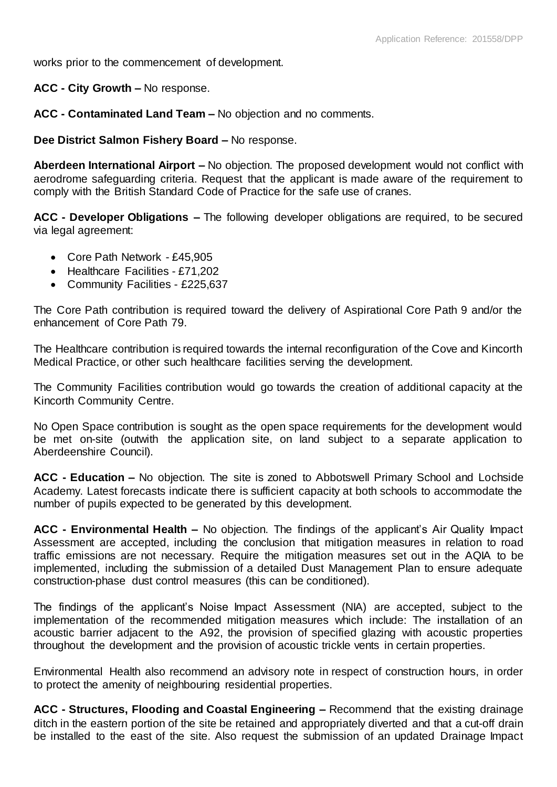works prior to the commencement of development.

**ACC - City Growth –** No response.

**ACC - Contaminated Land Team –** No objection and no comments.

**Dee District Salmon Fishery Board –** No response.

**Aberdeen International Airport –** No objection. The proposed development would not conflict with aerodrome safeguarding criteria. Request that the applicant is made aware of the requirement to comply with the British Standard Code of Practice for the safe use of cranes.

**ACC - Developer Obligations –** The following developer obligations are required, to be secured via legal agreement:

- Core Path Network £45,905
- Healthcare Facilities £71,202
- Community Facilities £225,637

The Core Path contribution is required toward the delivery of Aspirational Core Path 9 and/or the enhancement of Core Path 79.

The Healthcare contribution is required towards the internal reconfiguration of the Cove and Kincorth Medical Practice, or other such healthcare facilities serving the development.

The Community Facilities contribution would go towards the creation of additional capacity at the Kincorth Community Centre.

No Open Space contribution is sought as the open space requirements for the development would be met on-site (outwith the application site, on land subject to a separate application to Aberdeenshire Council).

**ACC - Education –** No objection. The site is zoned to Abbotswell Primary School and Lochside Academy. Latest forecasts indicate there is sufficient capacity at both schools to accommodate the number of pupils expected to be generated by this development.

**ACC - Environmental Health –** No objection. The findings of the applicant's Air Quality Impact Assessment are accepted, including the conclusion that mitigation measures in relation to road traffic emissions are not necessary. Require the mitigation measures set out in the AQIA to be implemented, including the submission of a detailed Dust Management Plan to ensure adequate construction-phase dust control measures (this can be conditioned).

The findings of the applicant's Noise Impact Assessment (NIA) are accepted, subject to the implementation of the recommended mitigation measures which include: The installation of an acoustic barrier adjacent to the A92, the provision of specified glazing with acoustic properties throughout the development and the provision of acoustic trickle vents in certain properties.

Environmental Health also recommend an advisory note in respect of construction hours, in order to protect the amenity of neighbouring residential properties.

**ACC - Structures, Flooding and Coastal Engineering –** Recommend that the existing drainage ditch in the eastern portion of the site be retained and appropriately diverted and that a cut-off drain be installed to the east of the site. Also request the submission of an updated Drainage Impact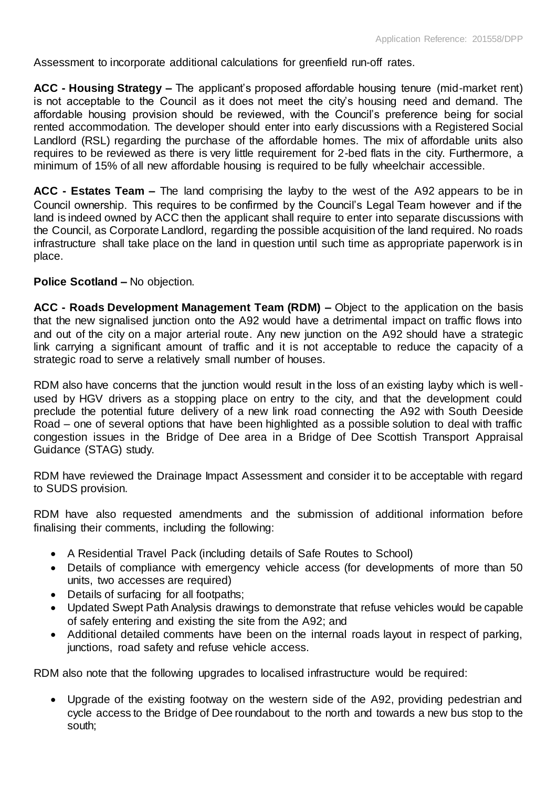Assessment to incorporate additional calculations for greenfield run-off rates.

**ACC - Housing Strategy –** The applicant's proposed affordable housing tenure (mid-market rent) is not acceptable to the Council as it does not meet the city's housing need and demand. The affordable housing provision should be reviewed, with the Council's preference being for social rented accommodation. The developer should enter into early discussions with a Registered Social Landlord (RSL) regarding the purchase of the affordable homes. The mix of affordable units also requires to be reviewed as there is very little requirement for 2-bed flats in the city. Furthermore, a minimum of 15% of all new affordable housing is required to be fully wheelchair accessible.

**ACC - Estates Team –** The land comprising the layby to the west of the A92 appears to be in Council ownership. This requires to be confirmed by the Council's Legal Team however and if the land is indeed owned by ACC then the applicant shall require to enter into separate discussions with the Council, as Corporate Landlord, regarding the possible acquisition of the land required. No roads infrastructure shall take place on the land in question until such time as appropriate paperwork is in place.

# **Police Scotland –** No objection.

**ACC - Roads Development Management Team (RDM) –** Object to the application on the basis that the new signalised junction onto the A92 would have a detrimental impact on traffic flows into and out of the city on a major arterial route. Any new junction on the A92 should have a strategic link carrying a significant amount of traffic and it is not acceptable to reduce the capacity of a strategic road to serve a relatively small number of houses.

RDM also have concerns that the junction would result in the loss of an existing layby which is wellused by HGV drivers as a stopping place on entry to the city, and that the development could preclude the potential future delivery of a new link road connecting the A92 with South Deeside Road – one of several options that have been highlighted as a possible solution to deal with traffic congestion issues in the Bridge of Dee area in a Bridge of Dee Scottish Transport Appraisal Guidance (STAG) study.

RDM have reviewed the Drainage Impact Assessment and consider it to be acceptable with regard to SUDS provision.

RDM have also requested amendments and the submission of additional information before finalising their comments, including the following:

- A Residential Travel Pack (including details of Safe Routes to School)
- Details of compliance with emergency vehicle access (for developments of more than 50 units, two accesses are required)
- Details of surfacing for all footpaths;
- Updated Swept Path Analysis drawings to demonstrate that refuse vehicles would be capable of safely entering and existing the site from the A92; and
- Additional detailed comments have been on the internal roads layout in respect of parking, junctions, road safety and refuse vehicle access.

RDM also note that the following upgrades to localised infrastructure would be required:

 Upgrade of the existing footway on the western side of the A92, providing pedestrian and cycle access to the Bridge of Dee roundabout to the north and towards a new bus stop to the south;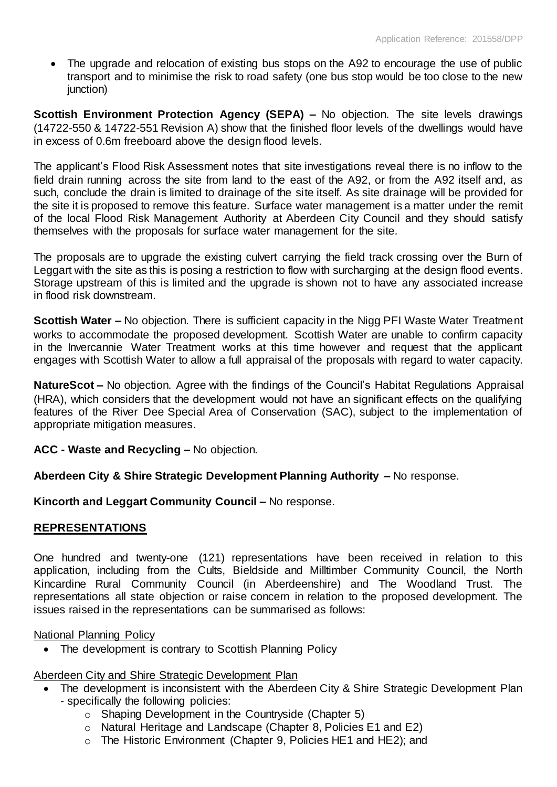• The upgrade and relocation of existing bus stops on the A92 to encourage the use of public transport and to minimise the risk to road safety (one bus stop would be too close to the new junction)

**Scottish Environment Protection Agency (SEPA) –** No objection. The site levels drawings (14722-550 & 14722-551 Revision A) show that the finished floor levels of the dwellings would have in excess of 0.6m freeboard above the design flood levels.

The applicant's Flood Risk Assessment notes that site investigations reveal there is no inflow to the field drain running across the site from land to the east of the A92, or from the A92 itself and, as such, conclude the drain is limited to drainage of the site itself. As site drainage will be provided for the site it is proposed to remove this feature. Surface water management is a matter under the remit of the local Flood Risk Management Authority at Aberdeen City Council and they should satisfy themselves with the proposals for surface water management for the site.

The proposals are to upgrade the existing culvert carrying the field track crossing over the Burn of Leggart with the site as this is posing a restriction to flow with surcharging at the design flood events. Storage upstream of this is limited and the upgrade is shown not to have any associated increase in flood risk downstream.

**Scottish Water –** No objection. There is sufficient capacity in the Nigg PFI Waste Water Treatment works to accommodate the proposed development. Scottish Water are unable to confirm capacity in the Invercannie Water Treatment works at this time however and request that the applicant engages with Scottish Water to allow a full appraisal of the proposals with regard to water capacity.

**NatureScot –** No objection. Agree with the findings of the Council's Habitat Regulations Appraisal (HRA), which considers that the development would not have an significant effects on the qualifying features of the River Dee Special Area of Conservation (SAC), subject to the implementation of appropriate mitigation measures.

**ACC - Waste and Recycling –** No objection.

**Aberdeen City & Shire Strategic Development Planning Authority –** No response.

**Kincorth and Leggart Community Council –** No response.

# **REPRESENTATIONS**

One hundred and twenty-one (121) representations have been received in relation to this application, including from the Cults, Bieldside and Milltimber Community Council, the North Kincardine Rural Community Council (in Aberdeenshire) and The Woodland Trust. The representations all state objection or raise concern in relation to the proposed development. The issues raised in the representations can be summarised as follows:

National Planning Policy

• The development is contrary to Scottish Planning Policy

# Aberdeen City and Shire Strategic Development Plan

- The development is inconsistent with the Aberdeen City & Shire Strategic Development Plan - specifically the following policies:
	- o Shaping Development in the Countryside (Chapter 5)
	- o Natural Heritage and Landscape (Chapter 8, Policies E1 and E2)
	- o The Historic Environment (Chapter 9, Policies HE1 and HE2); and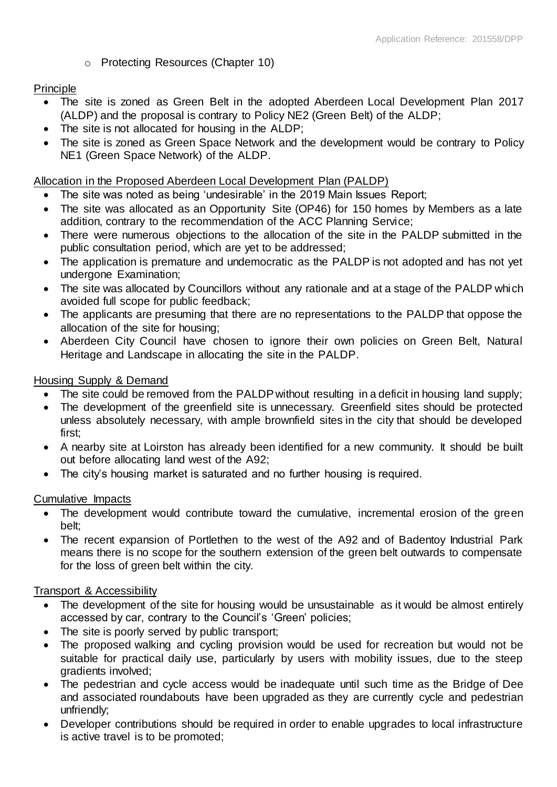# o Protecting Resources (Chapter 10)

# Principle

- The site is zoned as Green Belt in the adopted Aberdeen Local Development Plan 2017 (ALDP) and the proposal is contrary to Policy NE2 (Green Belt) of the ALDP;
- The site is not allocated for housing in the ALDP;
- The site is zoned as Green Space Network and the development would be contrary to Policy NE1 (Green Space Network) of the ALDP.

# Allocation in the Proposed Aberdeen Local Development Plan (PALDP)

- The site was noted as being 'undesirable' in the 2019 Main Issues Report;
- The site was allocated as an Opportunity Site (OP46) for 150 homes by Members as a late addition, contrary to the recommendation of the ACC Planning Service;
- There were numerous objections to the allocation of the site in the PALDP submitted in the public consultation period, which are yet to be addressed;
- The application is premature and undemocratic as the PALDP is not adopted and has not yet undergone Examination;
- The site was allocated by Councillors without any rationale and at a stage of the PALDP which avoided full scope for public feedback;
- The applicants are presuming that there are no representations to the PALDP that oppose the allocation of the site for housing;
- Aberdeen City Council have chosen to ignore their own policies on Green Belt, Natural Heritage and Landscape in allocating the site in the PALDP.

# Housing Supply & Demand

- The site could be removed from the PALDP without resulting in a deficit in housing land supply;
- The development of the greenfield site is unnecessary. Greenfield sites should be protected unless absolutely necessary, with ample brownfield sites in the city that should be developed first;
- A nearby site at Loirston has already been identified for a new community. It should be built out before allocating land west of the A92;
- The city's housing market is saturated and no further housing is required.

# Cumulative Impacts

- The development would contribute toward the cumulative, incremental erosion of the green belt;
- The recent expansion of Portlethen to the west of the A92 and of Badentoy Industrial Park means there is no scope for the southern extension of the green belt outwards to compensate for the loss of green belt within the city.

# Transport & Accessibility

- The development of the site for housing would be unsustainable as it would be almost entirely accessed by car, contrary to the Council's 'Green' policies;
- The site is poorly served by public transport;
- The proposed walking and cycling provision would be used for recreation but would not be suitable for practical daily use, particularly by users with mobility issues, due to the steep gradients involved;
- The pedestrian and cycle access would be inadequate until such time as the Bridge of Dee and associated roundabouts have been upgraded as they are currently cycle and pedestrian unfriendly;
- Developer contributions should be required in order to enable upgrades to local infrastructure is active travel is to be promoted;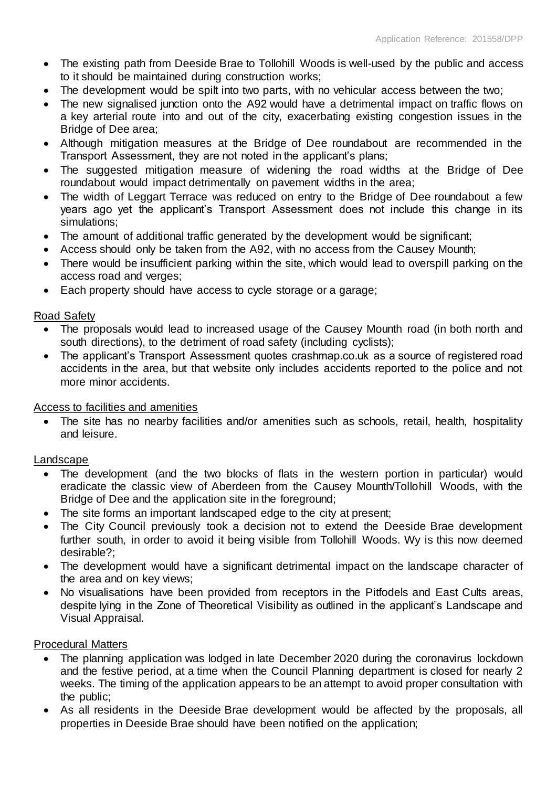- The existing path from Deeside Brae to Tollohill Woods is well-used by the public and access to it should be maintained during construction works;
- The development would be spilt into two parts, with no vehicular access between the two;
- The new signalised junction onto the A92 would have a detrimental impact on traffic flows on a key arterial route into and out of the city, exacerbating existing congestion issues in the Bridge of Dee area;
- Although mitigation measures at the Bridge of Dee roundabout are recommended in the Transport Assessment, they are not noted in the applicant's plans;
- The suggested mitigation measure of widening the road widths at the Bridge of Dee roundabout would impact detrimentally on pavement widths in the area;
- The width of Leggart Terrace was reduced on entry to the Bridge of Dee roundabout a few years ago yet the applicant's Transport Assessment does not include this change in its simulations;
- The amount of additional traffic generated by the development would be significant;
- Access should only be taken from the A92, with no access from the Causey Mounth;
- There would be insufficient parking within the site, which would lead to overspill parking on the access road and verges;
- Each property should have access to cycle storage or a garage;

#### Road Safety

- The proposals would lead to increased usage of the Causey Mounth road (in both north and south directions), to the detriment of road safety (including cyclists);
- The applicant's Transport Assessment quotes crashmap.co.uk as a source of registered road accidents in the area, but that website only includes accidents reported to the police and not more minor accidents.

# Access to facilities and amenities

 The site has no nearby facilities and/or amenities such as schools, retail, health, hospitality and leisure.

# Landscape

- The development (and the two blocks of flats in the western portion in particular) would eradicate the classic view of Aberdeen from the Causey Mounth/Tollohill Woods, with the Bridge of Dee and the application site in the foreground;
- The site forms an important landscaped edge to the city at present;
- The City Council previously took a decision not to extend the Deeside Brae development further south, in order to avoid it being visible from Tollohill Woods. Wy is this now deemed desirable?;
- The development would have a significant detrimental impact on the landscape character of the area and on key views;
- No visualisations have been provided from receptors in the Pitfodels and East Cults areas, despite lying in the Zone of Theoretical Visibility as outlined in the applicant's Landscape and Visual Appraisal.

#### Procedural Matters

- The planning application was lodged in late December 2020 during the coronavirus lockdown and the festive period, at a time when the Council Planning department is closed for nearly 2 weeks. The timing of the application appears to be an attempt to avoid proper consultation with the public;
- As all residents in the Deeside Brae development would be affected by the proposals, all properties in Deeside Brae should have been notified on the application;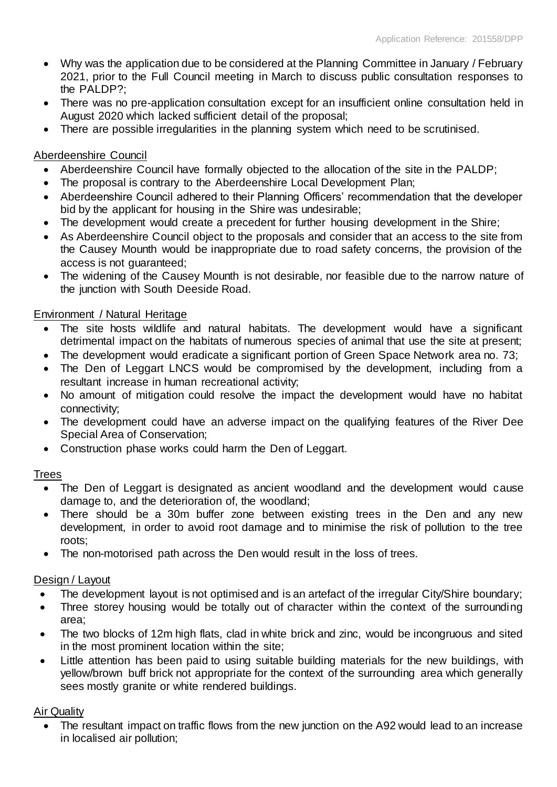- Why was the application due to be considered at the Planning Committee in January / February 2021, prior to the Full Council meeting in March to discuss public consultation responses to the PALDP?;
- There was no pre-application consultation except for an insufficient online consultation held in August 2020 which lacked sufficient detail of the proposal;
- There are possible irregularities in the planning system which need to be scrutinised.

# Aberdeenshire Council

- Aberdeenshire Council have formally objected to the allocation of the site in the PALDP;
- The proposal is contrary to the Aberdeenshire Local Development Plan;
- Aberdeenshire Council adhered to their Planning Officers' recommendation that the developer bid by the applicant for housing in the Shire was undesirable;
- The development would create a precedent for further housing development in the Shire;
- As Aberdeenshire Council object to the proposals and consider that an access to the site from the Causey Mounth would be inappropriate due to road safety concerns, the provision of the access is not quaranteed:
- The widening of the Causey Mounth is not desirable, nor feasible due to the narrow nature of the junction with South Deeside Road.

# Environment / Natural Heritage

- The site hosts wildlife and natural habitats. The development would have a significant detrimental impact on the habitats of numerous species of animal that use the site at present;
- The development would eradicate a significant portion of Green Space Network area no. 73;
- The Den of Leggart LNCS would be compromised by the development, including from a resultant increase in human recreational activity;
- No amount of mitigation could resolve the impact the development would have no habitat connectivity;
- The development could have an adverse impact on the qualifying features of the River Dee Special Area of Conservation;
- Construction phase works could harm the Den of Leggart.

# Trees

- The Den of Leggart is designated as ancient woodland and the development would cause damage to, and the deterioration of, the woodland;
- There should be a 30m buffer zone between existing trees in the Den and any new development, in order to avoid root damage and to minimise the risk of pollution to the tree roots;
- The non-motorised path across the Den would result in the loss of trees.

# Design / Layout

- The development layout is not optimised and is an artefact of the irregular City/Shire boundary;
- Three storey housing would be totally out of character within the context of the surrounding area;
- The two blocks of 12m high flats, clad in white brick and zinc, would be incongruous and sited in the most prominent location within the site;
- Little attention has been paid to using suitable building materials for the new buildings, with yellow/brown buff brick not appropriate for the context of the surrounding area which generally sees mostly granite or white rendered buildings.

# Air Quality

• The resultant impact on traffic flows from the new junction on the A92 would lead to an increase in localised air pollution;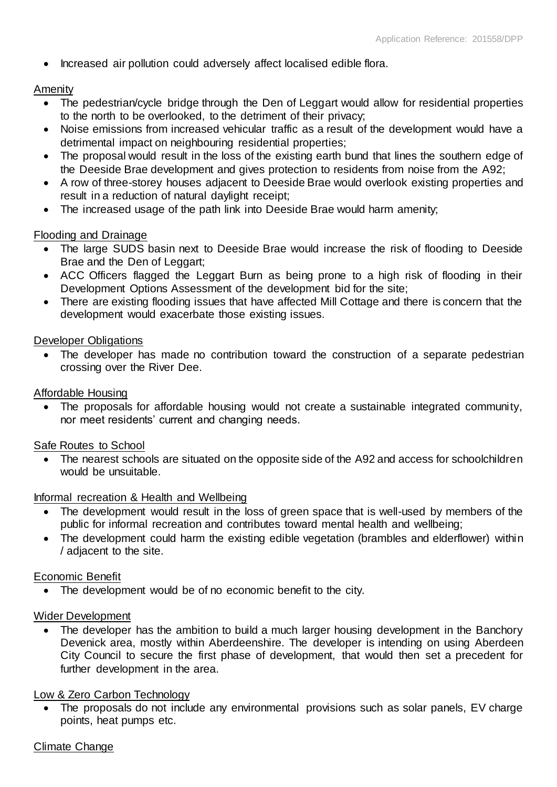• Increased air pollution could adversely affect localised edible flora.

# Amenity

- The pedestrian/cycle bridge through the Den of Leggart would allow for residential properties to the north to be overlooked, to the detriment of their privacy;
- Noise emissions from increased vehicular traffic as a result of the development would have a detrimental impact on neighbouring residential properties;
- The proposal would result in the loss of the existing earth bund that lines the southern edge of the Deeside Brae development and gives protection to residents from noise from the A92;
- A row of three-storey houses adjacent to Deeside Brae would overlook existing properties and result in a reduction of natural daylight receipt;
- The increased usage of the path link into Deeside Brae would harm amenity;

# Flooding and Drainage

- The large SUDS basin next to Deeside Brae would increase the risk of flooding to Deeside Brae and the Den of Leggart;
- ACC Officers flagged the Leggart Burn as being prone to a high risk of flooding in their Development Options Assessment of the development bid for the site;
- There are existing flooding issues that have affected Mill Cottage and there is concern that the development would exacerbate those existing issues.

# Developer Obligations

 The developer has made no contribution toward the construction of a separate pedestrian crossing over the River Dee.

# Affordable Housing

 The proposals for affordable housing would not create a sustainable integrated community, nor meet residents' current and changing needs.

# Safe Routes to School

 The nearest schools are situated on the opposite side of the A92 and access for schoolchildren would be unsuitable.

# Informal recreation & Health and Wellbeing

- The development would result in the loss of green space that is well-used by members of the public for informal recreation and contributes toward mental health and wellbeing;
- The development could harm the existing edible vegetation (brambles and elderflower) within / adjacent to the site.

# Economic Benefit

The development would be of no economic benefit to the city.

# Wider Development

• The developer has the ambition to build a much larger housing development in the Banchory Devenick area, mostly within Aberdeenshire. The developer is intending on using Aberdeen City Council to secure the first phase of development, that would then set a precedent for further development in the area.

# Low & Zero Carbon Technology

 The proposals do not include any environmental provisions such as solar panels, EV charge points, heat pumps etc.

# Climate Change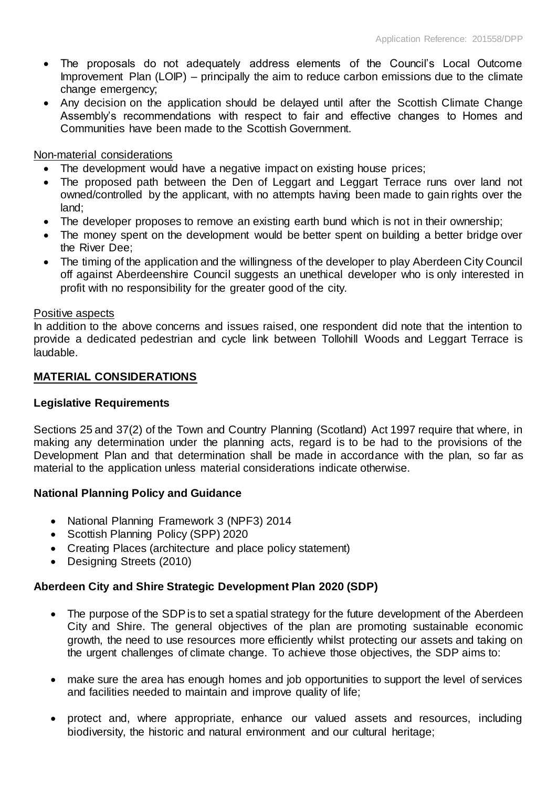- The proposals do not adequately address elements of the Council's Local Outcome Improvement Plan (LOIP) – principally the aim to reduce carbon emissions due to the climate change emergency;
- Any decision on the application should be delayed until after the Scottish Climate Change Assembly's recommendations with respect to fair and effective changes to Homes and Communities have been made to the Scottish Government.

#### Non-material considerations

- The development would have a negative impact on existing house prices;
- The proposed path between the Den of Leggart and Leggart Terrace runs over land not owned/controlled by the applicant, with no attempts having been made to gain rights over the land;
- The developer proposes to remove an existing earth bund which is not in their ownership;
- The money spent on the development would be better spent on building a better bridge over the River Dee;
- The timing of the application and the willingness of the developer to play Aberdeen City Council off against Aberdeenshire Council suggests an unethical developer who is only interested in profit with no responsibility for the greater good of the city.

#### Positive aspects

In addition to the above concerns and issues raised, one respondent did note that the intention to provide a dedicated pedestrian and cycle link between Tollohill Woods and Leggart Terrace is laudable.

#### **MATERIAL CONSIDERATIONS**

# **Legislative Requirements**

Sections 25 and 37(2) of the Town and Country Planning (Scotland) Act 1997 require that where, in making any determination under the planning acts, regard is to be had to the provisions of the Development Plan and that determination shall be made in accordance with the plan, so far as material to the application unless material considerations indicate otherwise.

# **National Planning Policy and Guidance**

- National Planning Framework 3 (NPF3) 2014
- Scottish Planning Policy (SPP) 2020
- Creating Places (architecture and place policy statement)
- Designing Streets (2010)

# **Aberdeen City and Shire Strategic Development Plan 2020 (SDP)**

- The purpose of the SDP is to set a spatial strategy for the future development of the Aberdeen City and Shire. The general objectives of the plan are promoting sustainable economic growth, the need to use resources more efficiently whilst protecting our assets and taking on the urgent challenges of climate change. To achieve those objectives, the SDP aims to:
- make sure the area has enough homes and job opportunities to support the level of services and facilities needed to maintain and improve quality of life;
- protect and, where appropriate, enhance our valued assets and resources, including biodiversity, the historic and natural environment and our cultural heritage;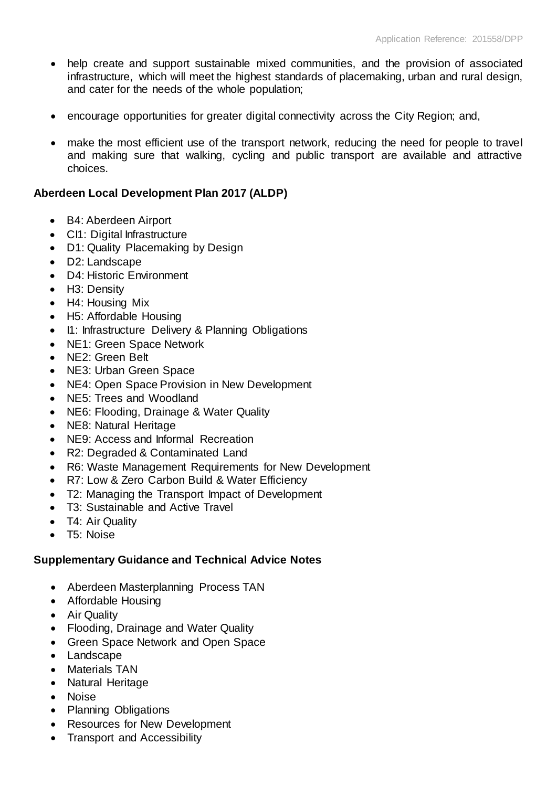- help create and support sustainable mixed communities, and the provision of associated infrastructure, which will meet the highest standards of placemaking, urban and rural design, and cater for the needs of the whole population;
- encourage opportunities for greater digital connectivity across the City Region; and,
- make the most efficient use of the transport network, reducing the need for people to travel and making sure that walking, cycling and public transport are available and attractive choices.

# **Aberdeen Local Development Plan 2017 (ALDP)**

- B4: Aberdeen Airport
- CI1: Digital Infrastructure
- D1: Quality Placemaking by Design
- D2: Landscape
- D4: Historic Environment
- H3: Density
- H4: Housing Mix
- H5: Affordable Housing
- I1: Infrastructure Delivery & Planning Obligations
- NE1: Green Space Network
- NE2: Green Belt
- NE3: Urban Green Space
- NE4: Open Space Provision in New Development
- NE5: Trees and Woodland
- NE6: Flooding, Drainage & Water Quality
- NE8: Natural Heritage
- NE9: Access and Informal Recreation
- R2: Degraded & Contaminated Land
- R6: Waste Management Requirements for New Development
- R7: Low & Zero Carbon Build & Water Efficiency
- T2: Managing the Transport Impact of Development
- T3: Sustainable and Active Travel
- T4: Air Quality
- T5: Noise

# **Supplementary Guidance and Technical Advice Notes**

- Aberdeen Masterplanning Process TAN
- Affordable Housing
- Air Quality
- Flooding, Drainage and Water Quality
- Green Space Network and Open Space
- Landscape
- Materials TAN
- Natural Heritage
- Noise
- Planning Obligations
- Resources for New Development
- Transport and Accessibility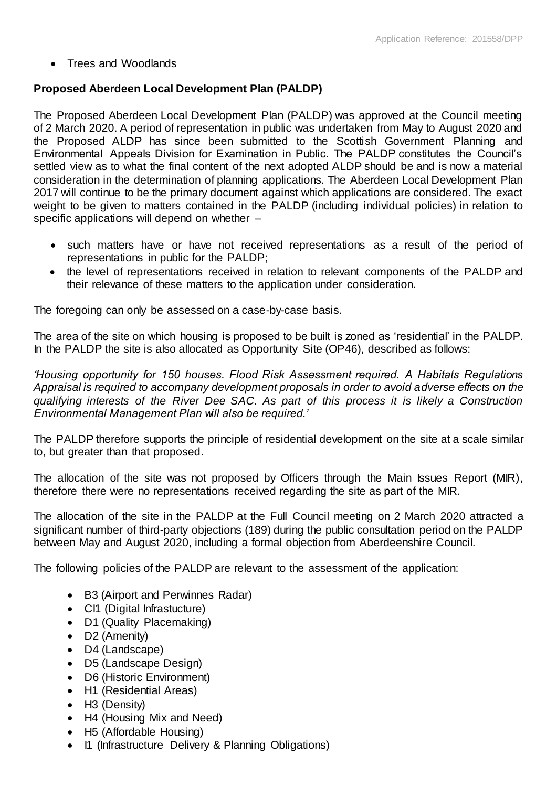Trees and Woodlands

# **Proposed Aberdeen Local Development Plan (PALDP)**

The Proposed Aberdeen Local Development Plan (PALDP) was approved at the Council meeting of 2 March 2020. A period of representation in public was undertaken from May to August 2020 and the Proposed ALDP has since been submitted to the Scottish Government Planning and Environmental Appeals Division for Examination in Public. The PALDP constitutes the Council's settled view as to what the final content of the next adopted ALDP should be and is now a material consideration in the determination of planning applications. The Aberdeen Local Development Plan 2017 will continue to be the primary document against which applications are considered. The exact weight to be given to matters contained in the PALDP (including individual policies) in relation to specific applications will depend on whether –

- such matters have or have not received representations as a result of the period of representations in public for the PALDP;
- the level of representations received in relation to relevant components of the PALDP and their relevance of these matters to the application under consideration.

The foregoing can only be assessed on a case-by-case basis.

The area of the site on which housing is proposed to be built is zoned as 'residential' in the PALDP. In the PALDP the site is also allocated as Opportunity Site (OP46), described as follows:

*'Housing opportunity for 150 houses. Flood Risk Assessment required. A Habitats Regulations Appraisal is required to accompany development proposals in order to avoid adverse effects on the qualifying interests of the River Dee SAC. As part of this process it is likely a Construction Environmental Management Plan will also be required.'*

The PALDP therefore supports the principle of residential development on the site at a scale similar to, but greater than that proposed.

The allocation of the site was not proposed by Officers through the Main Issues Report (MIR), therefore there were no representations received regarding the site as part of the MIR.

The allocation of the site in the PALDP at the Full Council meeting on 2 March 2020 attracted a significant number of third-party objections (189) during the public consultation period on the PALDP between May and August 2020, including a formal objection from Aberdeenshire Council.

The following policies of the PALDP are relevant to the assessment of the application:

- B3 (Airport and Perwinnes Radar)
- CI1 (Digital Infrastucture)
- D1 (Quality Placemaking)
- D2 (Amenity)
- D4 (Landscape)
- D5 (Landscape Design)
- D6 (Historic Environment)
- H1 (Residential Areas)
- H3 (Density)
- H4 (Housing Mix and Need)
- H5 (Affordable Housing)
- I1 (Infrastructure Delivery & Planning Obligations)